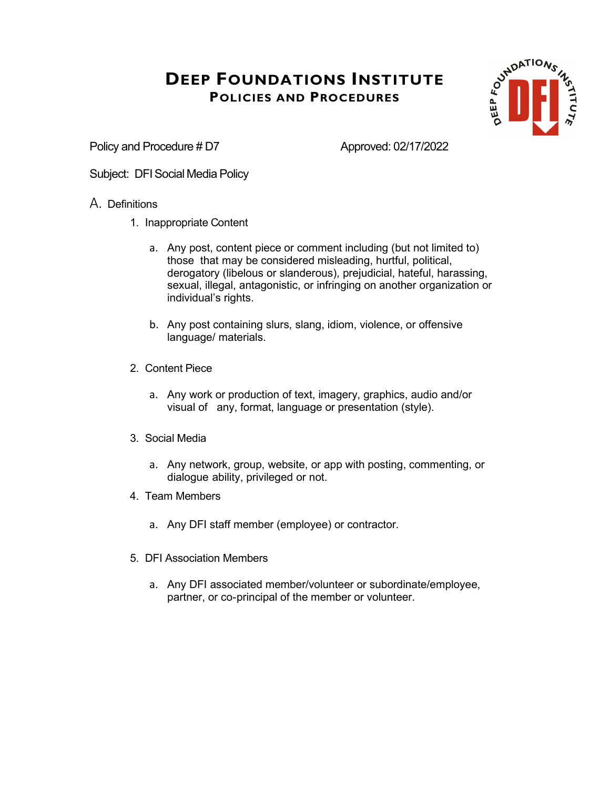

Policy and Procedure # D7 Approved: 02/17/2022

Subject: DFI Social Media Policy

#### A. Definitions

- 1. Inappropriate Content
	- a. Any post, content piece or comment including (but not limited to) those that may be considered misleading, hurtful, political, derogatory (libelous or slanderous), prejudicial, hateful, harassing, sexual, illegal, antagonistic, or infringing on another organization or individual's rights.
	- b. Any post containing slurs, slang, idiom, violence, or offensive language/ materials.
- 2. Content Piece
	- a. Any work or production of text, imagery, graphics, audio and/or visual of any, format, language or presentation (style).
- 3. Social Media
	- a. Any network, group, website, or app with posting, commenting, or dialogue ability, privileged or not.
- 4. Team Members
	- a. Any DFI staff member (employee) or contractor.
- 5. DFI Association Members
	- a. Any DFI associated member/volunteer or subordinate/employee, partner, or co-principal of the member or volunteer.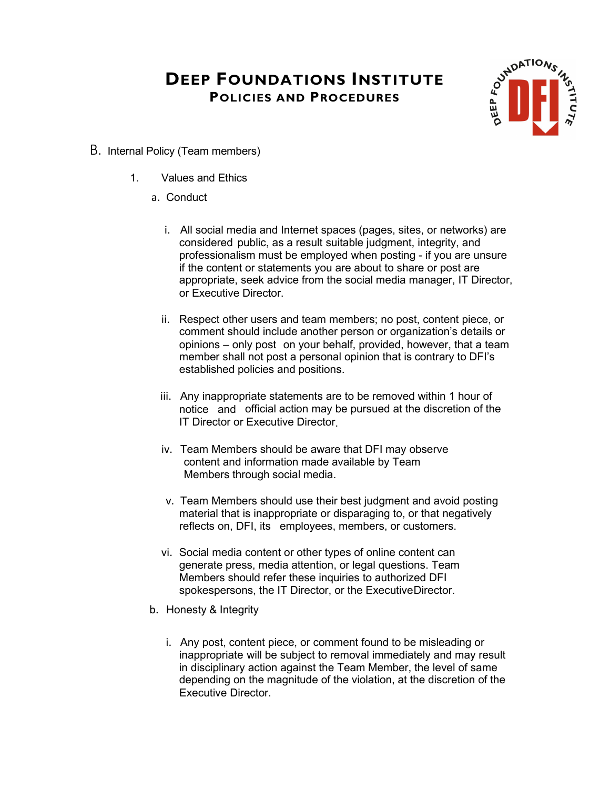

- B. Internal Policy (Team members)
	- 1. Values and Ethics
		- a. Conduct
			- i. All social media and Internet spaces (pages, sites, or networks) are considered public, as a result suitable judgment, integrity, and professionalism must be employed when posting - if you are unsure if the content or statements you are about to share or post are appropriate, seek advice from the social media manager, IT Director, or Executive Director.
			- ii. Respect other users and team members; no post, content piece, or comment should include another person or organization's details or opinions – only post on your behalf, provided, however, that a team member shall not post a personal opinion that is contrary to DFI's established policies and positions.
			- iii. Any inappropriate statements are to be removed within 1 hour of notice and official action may be pursued at the discretion of the IT Director or Executive Director.
			- iv. Team Members should be aware that DFI may observe content and information made available by Team Members through social media.
			- v. Team Members should use their best judgment and avoid posting material that is inappropriate or disparaging to, or that negatively reflects on, DFI, its employees, members, or customers.
			- vi. Social media content or other types of online content can generate press, media attention, or legal questions. Team Members should refer these inquiries to authorized DFI spokespersons, the IT Director, or the ExecutiveDirector.
		- b. Honesty & Integrity
			- i. Any post, content piece, or comment found to be misleading or inappropriate will be subject to removal immediately and may result in disciplinary action against the Team Member, the level of same depending on the magnitude of the violation, at the discretion of the Executive Director.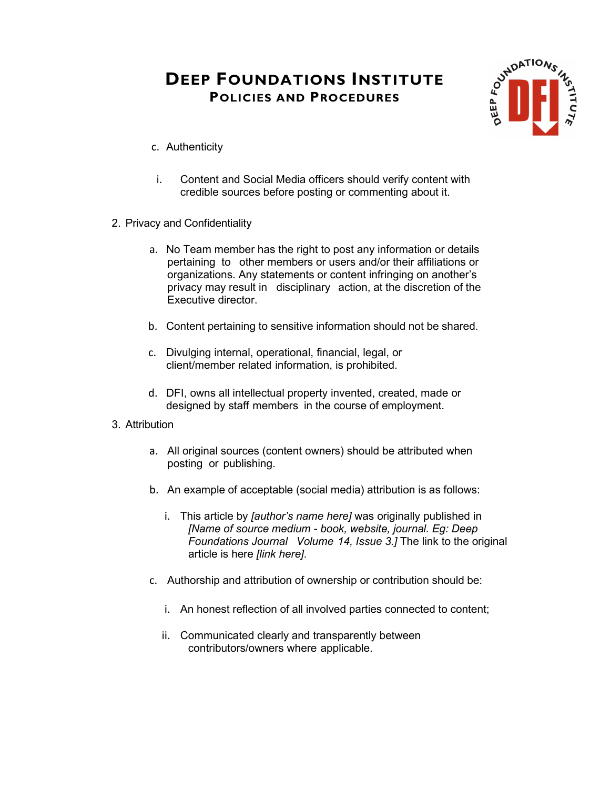

- c. Authenticity
- i. Content and Social Media officers should verify content with credible sources before posting or commenting about it.
- 2. Privacy and Confidentiality
	- a. No Team member has the right to post any information or details pertaining to other members or users and/or their affiliations or organizations. Any statements or content infringing on another's privacy may result in disciplinary action, at the discretion of the Executive director.
	- b. Content pertaining to sensitive information should not be shared.
	- c. Divulging internal, operational, financial, legal, or client/member related information, is prohibited.
	- d. DFI, owns all intellectual property invented, created, made or designed by staff members in the course of employment.

#### 3. Attribution

- a. All original sources (content owners) should be attributed when posting or publishing.
- b. An example of acceptable (social media) attribution is as follows:
	- i. This article by *[author's name here]* was originally published in *[Name of source medium - book, website, journal. Eg: Deep Foundations Journal Volume 14, Issue 3.]* The link to the original article is here *[link here]*.
- c. Authorship and attribution of ownership or contribution should be:
	- i. An honest reflection of all involved parties connected to content;
	- ii. Communicated clearly and transparently between contributors/owners where applicable.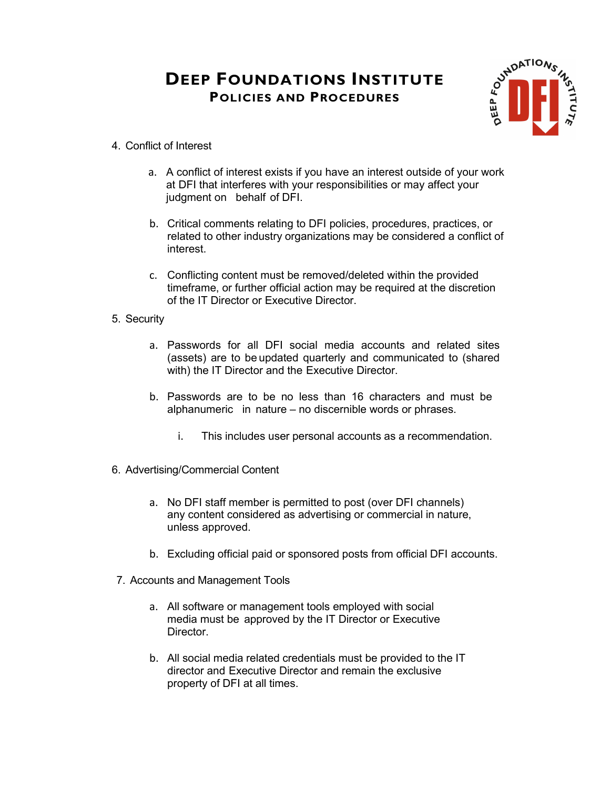

- 4. Conflict of Interest
	- a. A conflict of interest exists if you have an interest outside of your work at DFI that interferes with your responsibilities or may affect your judgment on behalf of DFI.
	- b. Critical comments relating to DFI policies, procedures, practices, or related to other industry organizations may be considered a conflict of interest.
	- c. Conflicting content must be removed/deleted within the provided timeframe, or further official action may be required at the discretion of the IT Director or Executive Director.
- 5. Security
	- a. Passwords for all DFI social media accounts and related sites (assets) are to be updated quarterly and communicated to (shared with) the IT Director and the Executive Director.
	- b. Passwords are to be no less than 16 characters and must be alphanumeric in nature – no discernible words or phrases.
		- i. This includes user personal accounts as a recommendation.
- 6. Advertising/Commercial Content
	- a. No DFI staff member is permitted to post (over DFI channels) any content considered as advertising or commercial in nature, unless approved.
	- b. Excluding official paid or sponsored posts from official DFI accounts.
- 7. Accounts and Management Tools
	- a. All software or management tools employed with social media must be approved by the IT Director or Executive Director.
	- b. All social media related credentials must be provided to the IT director and Executive Director and remain the exclusive property of DFI at all times.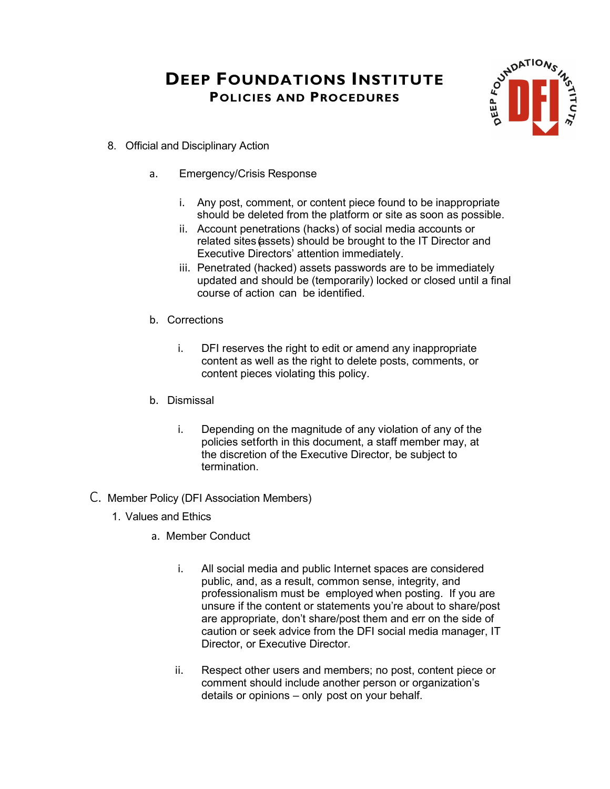

- 8. Official and Disciplinary Action
	- a. Emergency/Crisis Response
		- i. Any post, comment, or content piece found to be inappropriate should be deleted from the platform or site as soon as possible.
		- ii. Account penetrations (hacks) of social media accounts or related sites (assets) should be brought to the IT Director and Executive Directors' attention immediately.
		- iii. Penetrated (hacked) assets passwords are to be immediately updated and should be (temporarily) locked or closed until a final course of action can be identified.
	- b. Corrections
		- i. DFI reserves the right to edit or amend any inappropriate content as well as the right to delete posts, comments, or content pieces violating this policy.
	- b. Dismissal
		- i. Depending on the magnitude of any violation of any of the policies setforth in this document, a staff member may, at the discretion of the Executive Director, be subject to termination.
- C. Member Policy (DFI Association Members)
	- 1. Values and Ethics
		- a. Member Conduct
			- i. All social media and public Internet spaces are considered public, and, as a result, common sense, integrity, and professionalism must be employed when posting. If you are unsure if the content or statements you're about to share/post are appropriate, don't share/post them and err on the side of caution or seek advice from the DFI social media manager, IT Director, or Executive Director.
			- ii. Respect other users and members; no post, content piece or comment should include another person or organization's details or opinions – only post on your behalf.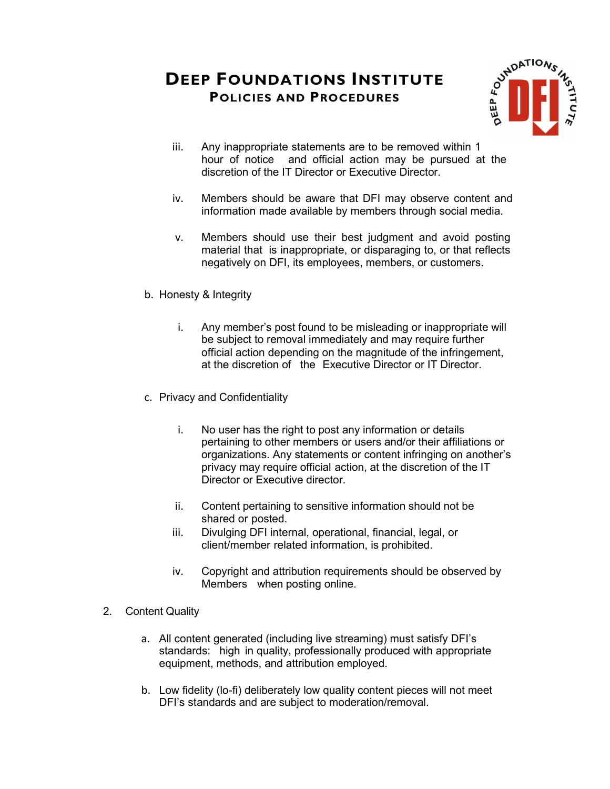

- iii. Any inappropriate statements are to be removed within 1 hour of notice and official action may be pursued at the discretion of the IT Director or Executive Director.
- iv. Members should be aware that DFI may observe content and information made available by members through social media.
- v. Members should use their best judgment and avoid posting material that is inappropriate, or disparaging to, or that reflects negatively on DFI, its employees, members, or customers.
- b. Honesty & Integrity
	- i. Any member's post found to be misleading or inappropriate will be subject to removal immediately and may require further official action depending on the magnitude of the infringement, at the discretion of the Executive Director or IT Director.
- c. Privacy and Confidentiality
	- i. No user has the right to post any information or details pertaining to other members or users and/or their affiliations or organizations. Any statements or content infringing on another's privacy may require official action, at the discretion of the IT Director or Executive director.
	- ii. Content pertaining to sensitive information should not be shared or posted.
	- iii. Divulging DFI internal, operational, financial, legal, or client/member related information, is prohibited.
	- iv. Copyright and attribution requirements should be observed by Members when posting online.
- 2. Content Quality
	- a. All content generated (including live streaming) must satisfy DFI's standards: high in quality, professionally produced with appropriate equipment, methods, and attribution employed.
	- b. Low fidelity (lo-fi) deliberately low quality content pieces will not meet DFI's standards and are subject to moderation/removal.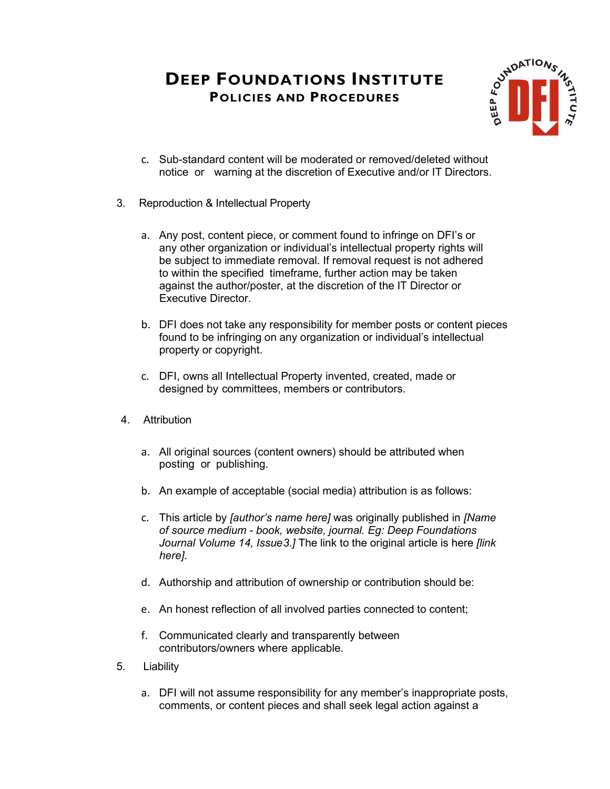

- c. Sub-standard content will be moderated or removed/deleted without notice or warning at the discretion of Executive and/or IT Directors.
- 3. Reproduction & Intellectual Property
	- a. Any post, content piece, or comment found to infringe on DFI's or any other organization or individual's intellectual property rights will be subject to immediate removal. If removal request is not adhered to within the specified timeframe, further action may be taken against the author/poster, at the discretion of the IT Director or Executive Director.
	- b. DFI does not take any responsibility for member posts or content pieces found to be infringing on any organization or individual's intellectual property or copyright.
	- c. DFI, owns all Intellectual Property invented, created, made or designed by committees, members or contributors.
- 4. Attribution
	- a. All original sources (content owners) should be attributed when posting or publishing.
	- b. An example of acceptable (social media) attribution is as follows:
	- c. This article by *[author's name here]* was originally published in *[Name of source medium - book, website, journal. Eg: Deep Foundations Journal Volume 14, Issue3.]* The link to the original article is here *[link here]*.
	- d. Authorship and attribution of ownership or contribution should be:
	- e. An honest reflection of all involved parties connected to content;
	- f. Communicated clearly and transparently between contributors/owners where applicable.
- 5. Liability
	- a. DFI will not assume responsibility for any member's inappropriate posts, comments, or content pieces and shall seek legal action against a